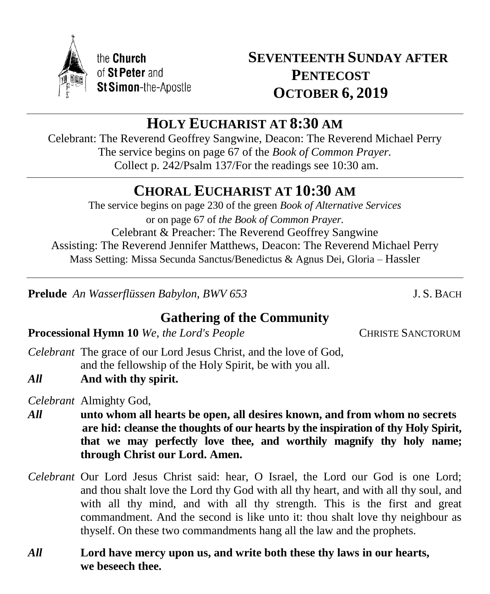

# **HOLY EUCHARIST AT 8:30 AM**

Celebrant: The Reverend Geoffrey Sangwine, Deacon: The Reverend Michael Perry The service begins on page 67 of the *Book of Common Prayer.* Collect p. 242/Psalm 137/For the readings see 10:30 am.

# **CHORAL EUCHARIST AT 10:30 AM**

The service begins on page 230 of the green *Book of Alternative Services* or on page 67 of *the Book of Common Prayer.* Celebrant & Preacher: The Reverend Geoffrey Sangwine Assisting: The Reverend Jennifer Matthews, Deacon: The Reverend Michael Perry Mass Setting: Missa Secunda Sanctus/Benedictus & Agnus Dei, Gloria – Hassler

**Prelude** *An Wasserflüssen Babylon, BWV 653* J. S. BACH

# **Gathering of the Community**

**Processional Hymn 10** *We, the Lord's People* CHRISTE SANCTORUM

- *Celebrant* The grace of our Lord Jesus Christ, and the love of God, and the fellowship of the Holy Spirit, be with you all.
- *All* **And with thy spirit.**

*Celebrant* Almighty God,

- *All* **unto whom all hearts be open, all desires known, and from whom no secrets are hid: cleanse the thoughts of our hearts by the inspiration of thy Holy Spirit, that we may perfectly love thee, and worthily magnify thy holy name; through Christ our Lord. Amen.**
- *Celebrant* Our Lord Jesus Christ said: hear, O Israel, the Lord our God is one Lord; and thou shalt love the Lord thy God with all thy heart, and with all thy soul, and with all thy mind, and with all thy strength. This is the first and great commandment. And the second is like unto it: thou shalt love thy neighbour as thyself. On these two commandments hang all the law and the prophets.
- *All* **Lord have mercy upon us, and write both these thy laws in our hearts, we beseech thee.**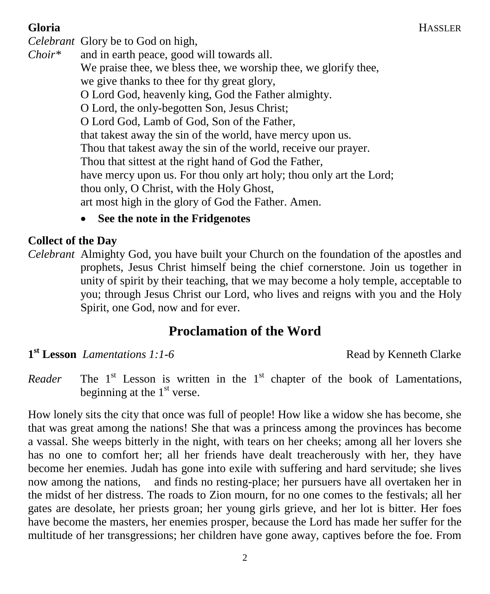#### **Gloria** HASSLER

*Celebrant* Glory be to God on high, *Choir\** and in earth peace, good will towards all. We praise thee, we bless thee, we worship thee, we glorify thee. we give thanks to thee for thy great glory, O Lord God, heavenly king, God the Father almighty. O Lord, the only-begotten Son, Jesus Christ; O Lord God, Lamb of God, Son of the Father, that takest away the sin of the world, have mercy upon us. Thou that takest away the sin of the world, receive our prayer. Thou that sittest at the right hand of God the Father, have mercy upon us. For thou only art holy; thou only art the Lord; thou only, O Christ, with the Holy Ghost, art most high in the glory of God the Father. Amen.

**See the note in the Fridgenotes**

#### **Collect of the Day**

*Celebrant* Almighty God, you have built your Church on the foundation of the apostles and prophets, Jesus Christ himself being the chief cornerstone. Join us together in unity of spirit by their teaching, that we may become a holy temple, acceptable to you; through Jesus Christ our Lord, who lives and reigns with you and the Holy Spirit, one God, now and for ever.

# **Proclamation of the Word**

**1**<sup>st</sup> Lesson *Lamentations 1:1-6* Read by Kenneth Clarke

*Reader* The  $1<sup>st</sup>$  Lesson is written in the  $1<sup>st</sup>$  chapter of the book of Lamentations, beginning at the  $1<sup>st</sup>$  verse.

How lonely sits the city that once was full of people! How like a widow she has become, she that was great among the nations! She that was a princess among the provinces has become a vassal. She weeps bitterly in the night, with tears on her cheeks; among all her lovers she has no one to comfort her; all her friends have dealt treacherously with her, they have become her enemies. Judah has gone into exile with suffering and hard servitude; she lives now among the nations, and finds no resting-place; her pursuers have all overtaken her in the midst of her distress. The roads to Zion mourn, for no one comes to the festivals; all her gates are desolate, her priests groan; her young girls grieve, and her lot is bitter. Her foes have become the masters, her enemies prosper, because the Lord has made her suffer for the multitude of her transgressions; her children have gone away, captives before the foe. From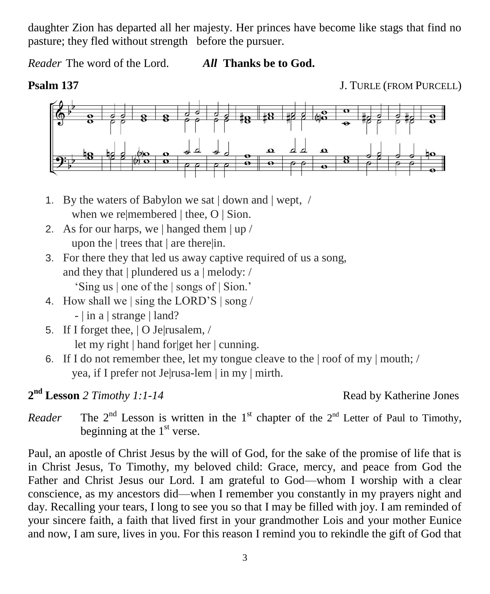daughter Zion has departed all her majesty. Her princes have become like stags that find no pasture; they fled without strength before the pursuer.

*Reader* The word of the Lord. *All* **Thanks be to God.**

**Psalm 137 J. TURLE (FROM PURCELL)** 



- 1. By the waters of Babylon we sat | down and | wept, / when we remembered | thee, O | Sion.
- 2. As for our harps, we | hanged them | up / upon the | trees that | are there|in.
- 3. For there they that led us away captive required of us a song, and they that | plundered us a | melody: / 'Sing us | one of the | songs of | Sion.'
- 4. How shall we | sing the LORD'S | song / - | in a | strange | land?
- 5. If I forget thee, | O Je|rusalem, / let my right | hand for|get her | cunning.
- 6. If I do not remember thee, let my tongue cleave to the  $| \text{ roof of my} | \text{mouth}; /$ yea, if I prefer not Je|rusa-lem | in my | mirth.

**2 nd Lesson** *2 Timothy 1:1-14* Read by Katherine Jones

*Reader* <sup>nd</sup> Lesson is written in the 1<sup>st</sup> chapter of the  $2<sup>nd</sup>$  Letter of Paul to Timothy, beginning at the  $1<sup>st</sup>$  verse.

Paul, an apostle of Christ Jesus by the will of God, for the sake of the promise of life that is in Christ Jesus, To Timothy, my beloved child: Grace, mercy, and peace from God the Father and Christ Jesus our Lord. I am grateful to God—whom I worship with a clear conscience, as my ancestors did—when I remember you constantly in my prayers night and day. Recalling your tears, I long to see you so that I may be filled with joy. I am reminded of your sincere faith, a faith that lived first in your grandmother Lois and your mother Eunice and now, I am sure, lives in you. For this reason I remind you to rekindle the gift of God that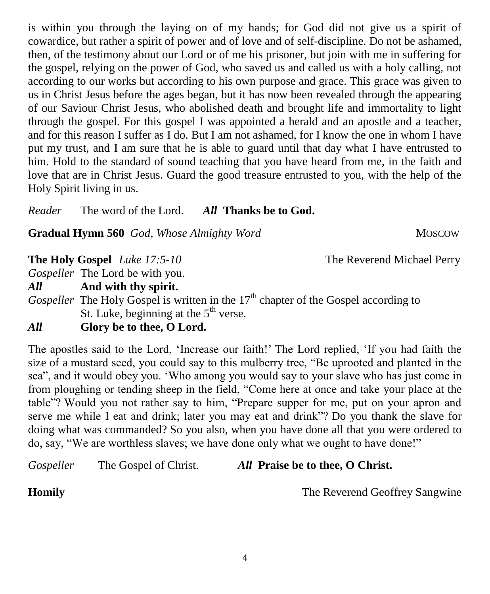is within you through the laying on of my hands; for God did not give us a spirit of cowardice, but rather a spirit of power and of love and of self-discipline. Do not be ashamed, then, of the testimony about our Lord or of me his prisoner, but join with me in suffering for the gospel, relying on the power of God, who saved us and called us with a holy calling, not according to our works but according to his own purpose and grace. This grace was given to us in Christ Jesus before the ages began, but it has now been revealed through the appearing of our Saviour Christ Jesus, who abolished death and brought life and immortality to light through the gospel. For this gospel I was appointed a herald and an apostle and a teacher, and for this reason I suffer as I do. But I am not ashamed, for I know the one in whom I have put my trust, and I am sure that he is able to guard until that day what I have entrusted to him. Hold to the standard of sound teaching that you have heard from me, in the faith and love that are in Christ Jesus. Guard the good treasure entrusted to you, with the help of the Holy Spirit living in us.

*Reader* The word of the Lord. *All* **Thanks be to God.**

**Gradual Hymn 560** *God, Whose Almighty Word* MOSCOW

**The Holy Gospel** *Luke 17:5-10* The Reverend Michael Perry

*Gospeller* The Lord be with you.

*All* **And with thy spirit.**

*Gospeller* The Holy Gospel is written in the 17<sup>th</sup> chapter of the Gospel according to St. Luke, beginning at the  $5<sup>th</sup>$  verse.

## *All* **Glory be to thee, O Lord.**

The apostles said to the Lord, 'Increase our faith!' The Lord replied, 'If you had faith the size of a mustard seed, you could say to this mulberry tree, "Be uprooted and planted in the sea", and it would obey you. 'Who among you would say to your slave who has just come in from ploughing or tending sheep in the field, "Come here at once and take your place at the table"? Would you not rather say to him, "Prepare supper for me, put on your apron and serve me while I eat and drink; later you may eat and drink"? Do you thank the slave for doing what was commanded? So you also, when you have done all that you were ordered to do, say, "We are worthless slaves; we have done only what we ought to have done!"

## *Gospeller* The Gospel of Christ. *All* **Praise be to thee, O Christ.**

**Homily The Reverend Geoffrey Sangwine** 

4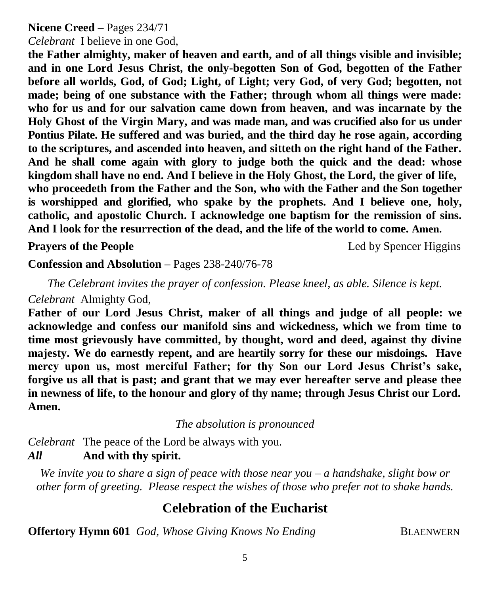## **Nicene Creed –** Pages 234/71

*Celebrant* I believe in one God,

**the Father almighty, maker of heaven and earth, and of all things visible and invisible; and in one Lord Jesus Christ, the only-begotten Son of God, begotten of the Father before all worlds, God, of God; Light, of Light; very God, of very God; begotten, not made; being of one substance with the Father; through whom all things were made: who for us and for our salvation came down from heaven, and was incarnate by the Holy Ghost of the Virgin Mary, and was made man, and was crucified also for us under Pontius Pilate. He suffered and was buried, and the third day he rose again, according to the scriptures, and ascended into heaven, and sitteth on the right hand of the Father. And he shall come again with glory to judge both the quick and the dead: whose kingdom shall have no end. And I believe in the Holy Ghost, the Lord, the giver of life, who proceedeth from the Father and the Son, who with the Father and the Son together is worshipped and glorified, who spake by the prophets. And I believe one, holy, catholic, and apostolic Church. I acknowledge one baptism for the remission of sins. And I look for the resurrection of the dead, and the life of the world to come. Amen.**

**Prayers of the People** Led by Spencer Higgins

**Confession and Absolution –** Pages 238-240/76-78

*The Celebrant invites the prayer of confession. Please kneel, as able. Silence is kept. Celebrant* Almighty God,

**Father of our Lord Jesus Christ, maker of all things and judge of all people: we acknowledge and confess our manifold sins and wickedness, which we from time to time most grievously have committed, by thought, word and deed, against thy divine majesty. We do earnestly repent, and are heartily sorry for these our misdoings. Have mercy upon us, most merciful Father; for thy Son our Lord Jesus Christ's sake, forgive us all that is past; and grant that we may ever hereafter serve and please thee in newness of life, to the honour and glory of thy name; through Jesus Christ our Lord. Amen.**

*The absolution is pronounced*

*Celebrant* The peace of the Lord be always with you. *All* **And with thy spirit.**

*We invite you to share a sign of peace with those near you – a handshake, slight bow or other form of greeting. Please respect the wishes of those who prefer not to shake hands.*

# **Celebration of the Eucharist**

**Offertory Hymn 601** *God, Whose Giving Knows No Ending* BLAENWERN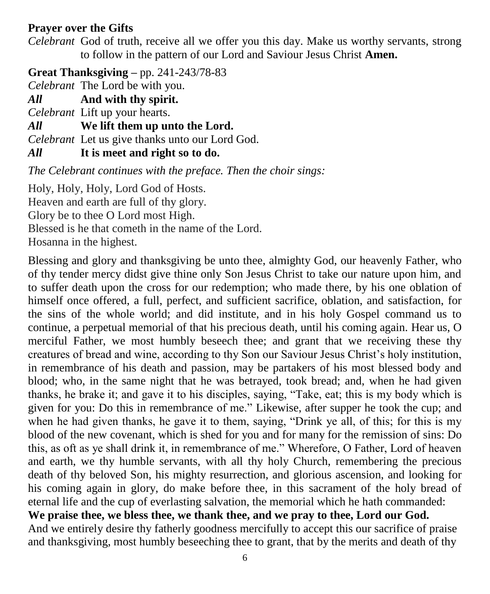## **Prayer over the Gifts**

*Celebrant* God of truth, receive all we offer you this day. Make us worthy servants, strong to follow in the pattern of our Lord and Saviour Jesus Christ **Amen.**

**Great Thanksgiving –** pp. 241-243/78-83

*Celebrant* The Lord be with you.

*All* **And with thy spirit.** 

*Celebrant* Lift up your hearts.

*All* **We lift them up unto the Lord.** 

*Celebrant* Let us give thanks unto our Lord God.

*All* **It is meet and right so to do.** 

*The Celebrant continues with the preface. Then the choir sings:*

Holy, Holy, Holy, Lord God of Hosts.

Heaven and earth are full of thy glory.

Glory be to thee O Lord most High.

Blessed is he that cometh in the name of the Lord.

Hosanna in the highest.

Blessing and glory and thanksgiving be unto thee, almighty God, our heavenly Father, who of thy tender mercy didst give thine only Son Jesus Christ to take our nature upon him, and to suffer death upon the cross for our redemption; who made there, by his one oblation of himself once offered, a full, perfect, and sufficient sacrifice, oblation, and satisfaction, for the sins of the whole world; and did institute, and in his holy Gospel command us to continue, a perpetual memorial of that his precious death, until his coming again. Hear us, O merciful Father, we most humbly beseech thee; and grant that we receiving these thy creatures of bread and wine, according to thy Son our Saviour Jesus Christ's holy institution, in remembrance of his death and passion, may be partakers of his most blessed body and blood; who, in the same night that he was betrayed, took bread; and, when he had given thanks, he brake it; and gave it to his disciples, saying, "Take, eat; this is my body which is given for you: Do this in remembrance of me." Likewise, after supper he took the cup; and when he had given thanks, he gave it to them, saying, "Drink ye all, of this; for this is my blood of the new covenant, which is shed for you and for many for the remission of sins: Do this, as oft as ye shall drink it, in remembrance of me." Wherefore, O Father, Lord of heaven and earth, we thy humble servants, with all thy holy Church, remembering the precious death of thy beloved Son, his mighty resurrection, and glorious ascension, and looking for his coming again in glory, do make before thee, in this sacrament of the holy bread of eternal life and the cup of everlasting salvation, the memorial which he hath commanded: **We praise thee, we bless thee, we thank thee, and we pray to thee, Lord our God.**  And we entirely desire thy fatherly goodness mercifully to accept this our sacrifice of praise

and thanksgiving, most humbly beseeching thee to grant, that by the merits and death of thy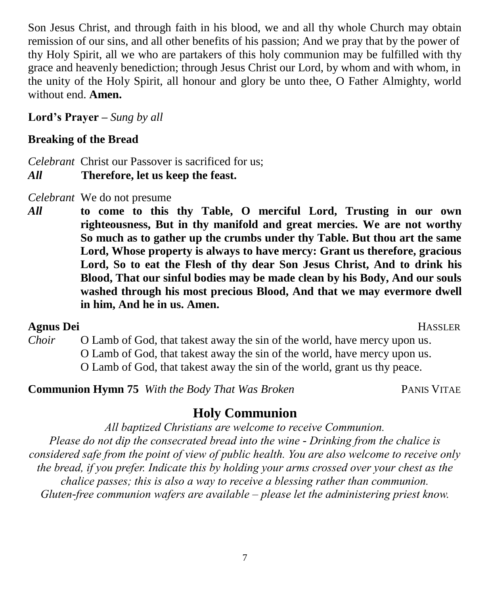Son Jesus Christ, and through faith in his blood, we and all thy whole Church may obtain remission of our sins, and all other benefits of his passion; And we pray that by the power of thy Holy Spirit, all we who are partakers of this holy communion may be fulfilled with thy grace and heavenly benediction; through Jesus Christ our Lord, by whom and with whom, in the unity of the Holy Spirit, all honour and glory be unto thee, O Father Almighty, world without end. **Amen.**

**Lord's Prayer –** *Sung by all*

## **Breaking of the Bread**

*Celebrant* Christ our Passover is sacrificed for us;

- *All* **Therefore, let us keep the feast.**
- *Celebrant* We do not presume
- *All* **to come to this thy Table, O merciful Lord, Trusting in our own righteousness, But in thy manifold and great mercies. We are not worthy So much as to gather up the crumbs under thy Table. But thou art the same Lord, Whose property is always to have mercy: Grant us therefore, gracious Lord, So to eat the Flesh of thy dear Son Jesus Christ, And to drink his Blood, That our sinful bodies may be made clean by his Body, And our souls washed through his most precious Blood, And that we may evermore dwell in him, And he in us. Amen.**

#### **Agnus Dei** HASSLER

*Choir* O Lamb of God, that takest away the sin of the world, have mercy upon us. O Lamb of God, that takest away the sin of the world, have mercy upon us. O Lamb of God, that takest away the sin of the world, grant us thy peace.

**Communion Hymn 75** *With the Body That Was Broken* PANIS VITAE

## **Holy Communion**

*All baptized Christians are welcome to receive Communion. Please do not dip the consecrated bread into the wine - Drinking from the chalice is considered safe from the point of view of public health. You are also welcome to receive only the bread, if you prefer. Indicate this by holding your arms crossed over your chest as the chalice passes; this is also a way to receive a blessing rather than communion. Gluten-free communion wafers are available – please let the administering priest know.*